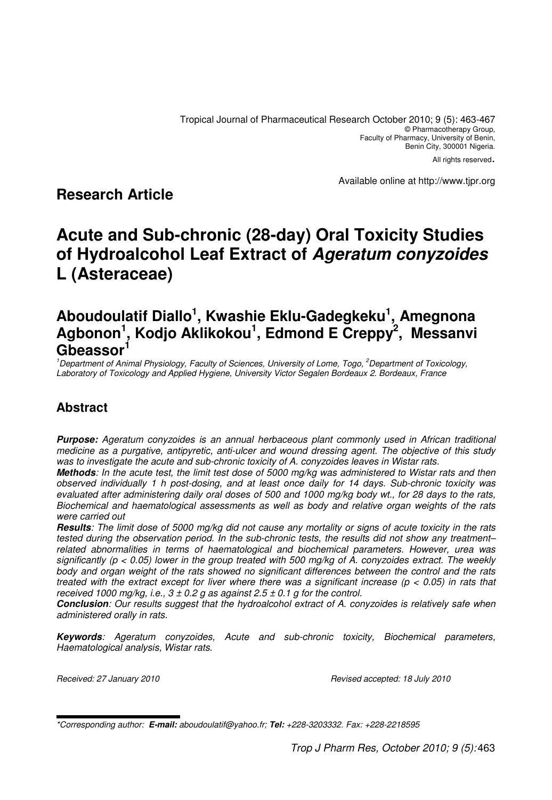All rights reserved.

Available online at http://www.tjpr.org

## **Research Article**

# **Acute and Sub-chronic (28-day) Oral Toxicity Studies of Hydroalcohol Leaf Extract of Ageratum conyzoides L (Asteraceae)**

## **Aboudoulatif Diallo<sup>1</sup> , Kwashie Eklu-Gadegkeku<sup>1</sup> , Amegnona Agbonon<sup>1</sup> , Kodjo Aklikokou<sup>1</sup> , Edmond E Creppy<sup>2</sup> , Messanvi Gbeassor<sup>1</sup>**

<sup>1</sup>Department of Animal Physiology, Faculty of Sciences, University of Lome, Togo, <sup>2</sup>Department of Toxicology, Laboratory of Toxicology and Applied Hygiene, University Victor Segalen Bordeaux 2. Bordeaux, France

## **Abstract**

**Purpose:** Ageratum conyzoides is an annual herbaceous plant commonly used in African traditional medicine as a purgative, antipyretic, anti-ulcer and wound dressing agent. The objective of this study was to investigate the acute and sub-chronic toxicity of A. conyzoides leaves in Wistar rats.

**Methods**: In the acute test, the limit test dose of 5000 mg/kg was administered to Wistar rats and then observed individually 1 h post-dosing, and at least once daily for 14 days. Sub-chronic toxicity was evaluated after administering daily oral doses of 500 and 1000 mg/kg body wt., for 28 days to the rats, Biochemical and haematological assessments as well as body and relative organ weights of the rats were carried out

**Results**: The limit dose of 5000 mg/kg did not cause any mortality or signs of acute toxicity in the rats tested during the observation period. In the sub-chronic tests, the results did not show any treatment– related abnormalities in terms of haematological and biochemical parameters. However, urea was significantly ( $p < 0.05$ ) lower in the group treated with 500 mg/kg of A. conyzoides extract. The weekly body and organ weight of the rats showed no significant differences between the control and the rats treated with the extract except for liver where there was a significant increase (p < 0.05) in rats that received 1000 mg/kg, i.e.,  $3 \pm 0.2$  g as against  $2.5 \pm 0.1$  g for the control.

**Conclusion**: Our results suggest that the hydroalcohol extract of A. conyzoides is relatively safe when administered orally in rats.

**Keywords**: Ageratum conyzoides, Acute and sub-chronic toxicity, Biochemical parameters, Haematological analysis, Wistar rats.

Received: 27 January 2010 **Revised accepted: 18 July 2010** Revised accepted: 18 July 2010

<sup>\*</sup>Corresponding author: **E-mail:** aboudoulatif@yahoo.fr; **Tel:** +228-3203332. Fax: +228-2218595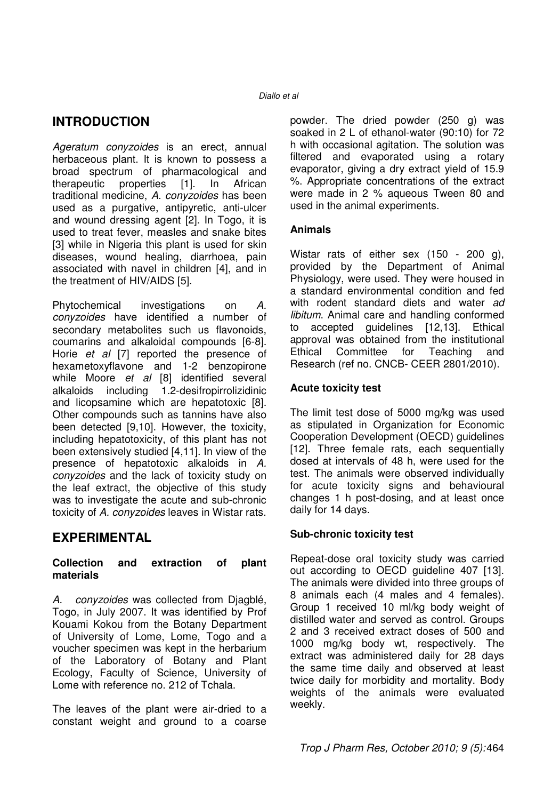## **INTRODUCTION**

Ageratum conyzoides is an erect, annual herbaceous plant. It is known to possess a broad spectrum of pharmacological and therapeutic properties [1]. In African traditional medicine, A. conyzoides has been used as a purgative, antipyretic, anti-ulcer and wound dressing agent [2]. In Togo, it is used to treat fever, measles and snake bites [3] while in Nigeria this plant is used for skin diseases, wound healing, diarrhoea, pain associated with navel in children [4], and in the treatment of HIV/AIDS [5].

Phytochemical investigations on A. conyzoides have identified a number of secondary metabolites such us flavonoids, coumarins and alkaloidal compounds [6-8]. Horie et al [7] reported the presence of hexametoxyflavone and 1-2 benzopirone while Moore et al [8] identified several alkaloids including 1.2-desifropirrolizidinic and licopsamine which are hepatotoxic [8]. Other compounds such as tannins have also been detected [9,10]. However, the toxicity, including hepatotoxicity, of this plant has not been extensively studied [4,11]. In view of the presence of hepatotoxic alkaloids in A. conyzoides and the lack of toxicity study on the leaf extract, the objective of this study was to investigate the acute and sub-chronic toxicity of A. conyzoides leaves in Wistar rats.

## **EXPERIMENTAL**

#### **Collection and extraction of plant materials**

A. conyzoides was collected from Djagblé, Togo, in July 2007. It was identified by Prof Kouami Kokou from the Botany Department of University of Lome, Lome, Togo and a voucher specimen was kept in the herbarium of the Laboratory of Botany and Plant Ecology, Faculty of Science, University of Lome with reference no. 212 of Tchala.

The leaves of the plant were air-dried to a constant weight and ground to a coarse powder. The dried powder (250 g) was soaked in 2 L of ethanol-water (90:10) for 72 h with occasional agitation. The solution was filtered and evaporated using a rotary evaporator, giving a dry extract yield of 15.9 %. Appropriate concentrations of the extract were made in 2 % aqueous Tween 80 and used in the animal experiments.

### **Animals**

Wistar rats of either sex (150 - 200 g), provided by the Department of Animal Physiology, were used. They were housed in a standard environmental condition and fed with rodent standard diets and water ad libitum. Animal care and handling conformed to accepted guidelines [12,13]. Ethical approval was obtained from the institutional Ethical Committee for Teaching and Research (ref no. CNCB- CEER 2801/2010).

#### **Acute toxicity test**

The limit test dose of 5000 mg/kg was used as stipulated in Organization for Economic Cooperation Development (OECD) guidelines [12]. Three female rats, each sequentially dosed at intervals of 48 h, were used for the test. The animals were observed individually for acute toxicity signs and behavioural changes 1 h post-dosing, and at least once daily for 14 days.

#### **Sub-chronic toxicity test**

Repeat-dose oral toxicity study was carried out according to OECD guideline 407 [13]. The animals were divided into three groups of 8 animals each (4 males and 4 females). Group 1 received 10 ml/kg body weight of distilled water and served as control. Groups 2 and 3 received extract doses of 500 and 1000 mg/kg body wt, respectively. The extract was administered daily for 28 days the same time daily and observed at least twice daily for morbidity and mortality. Body weights of the animals were evaluated weekly.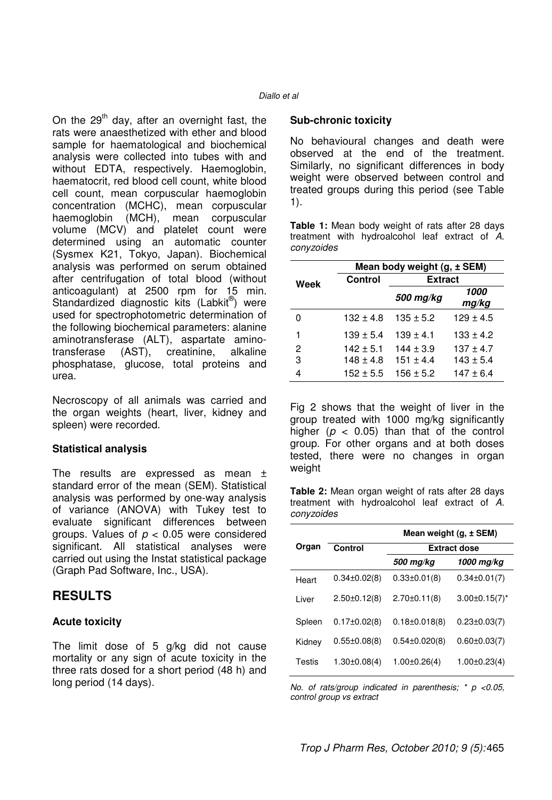On the  $29<sup>th</sup>$  day, after an overnight fast, the rats were anaesthetized with ether and blood sample for haematological and biochemical analysis were collected into tubes with and without EDTA, respectively. Haemoglobin, haematocrit, red blood cell count, white blood cell count, mean corpuscular haemoglobin concentration (MCHC), mean corpuscular haemoglobin (MCH), mean corpuscular volume (MCV) and platelet count were determined using an automatic counter (Sysmex K21, Tokyo, Japan). Biochemical analysis was performed on serum obtained after centrifugation of total blood (without anticoagulant) at 2500 rpm for 15 min. Standardized diagnostic kits (Labkit®) were used for spectrophotometric determination of the following biochemical parameters: alanine aminotransferase (ALT), aspartate aminotransferase (AST), creatinine, alkaline phosphatase, glucose, total proteins and urea.

Necroscopy of all animals was carried and the organ weights (heart, liver, kidney and spleen) were recorded.

#### **Statistical analysis**

The results are expressed as mean ± standard error of the mean (SEM). Statistical analysis was performed by one-way analysis of variance (ANOVA) with Tukey test to evaluate significant differences between groups. Values of  $p < 0.05$  were considered significant. All statistical analyses were carried out using the Instat statistical package (Graph Pad Software, Inc., USA).

## **RESULTS**

#### **Acute toxicity**

The limit dose of 5 g/kg did not cause mortality or any sign of acute toxicity in the three rats dosed for a short period (48 h) and long period (14 days).

#### **Sub-chronic toxicity**

No behavioural changes and death were observed at the end of the treatment. Similarly, no significant differences in body weight were observed between control and treated groups during this period (see Table 1).

**Table 1:** Mean body weight of rats after 28 days treatment with hydroalcohol leaf extract of A. conyzoides

|      | Mean body weight (g, ± SEM) |                |               |  |
|------|-----------------------------|----------------|---------------|--|
| Week | Control                     | <b>Extract</b> |               |  |
|      |                             | 500 mg/kg      | 1000<br>mg/kg |  |
| 0    | $132 \pm 4.8$               | $135 \pm 5.2$  | $129 \pm 4.5$ |  |
| 1    | $139 \pm 5.4$               | $139 \pm 4.1$  | $133 \pm 4.2$ |  |
| 2    | $142 \pm 5.1$               | $144 \pm 3.9$  | $137 \pm 4.7$ |  |
| 3    | $148 \pm 4.8$               | $151 \pm 4.4$  | $143 \pm 5.4$ |  |
| 4    | $152 \pm 5.5$               | $156 \pm 5.2$  | $147 \pm 6.4$ |  |

Fig 2 shows that the weight of liver in the group treated with 1000 mg/kg significantly higher ( $p < 0.05$ ) than that of the control group. For other organs and at both doses tested, there were no changes in organ weight

**Table 2:** Mean organ weight of rats after 28 days treatment with hydroalcohol leaf extract of A. conyzoides

|        |                    | Mean weight $(g, \pm SEM)$<br><b>Extract dose</b> |                      |  |
|--------|--------------------|---------------------------------------------------|----------------------|--|
| Organ  | Control            |                                                   |                      |  |
|        |                    | 500 mg/kg                                         | 1000 mg/kg           |  |
| Heart  | $0.34 \pm 0.02(8)$ | $0.33\pm0.01(8)$                                  | $0.34 \pm 0.01(7)$   |  |
| Liver  | $2.50 \pm 0.12(8)$ | $2.70 \pm 0.11(8)$                                | $3.00 \pm 0.15(7)^*$ |  |
| Spleen | $0.17 \pm 0.02(8)$ | $0.18 \pm 0.018(8)$                               | $0.23 \pm 0.03(7)$   |  |
| Kidney | $0.55 \pm 0.08(8)$ | $0.54 \pm 0.020(8)$                               | $0.60 \pm 0.03(7)$   |  |
| Testis | $1.30 \pm 0.08(4)$ | $1.00 \pm 0.26(4)$                                | $1.00 \pm 0.23(4)$   |  |

No. of rats/group indicated in parenthesis;  $*$  p <0.05, control group vs extract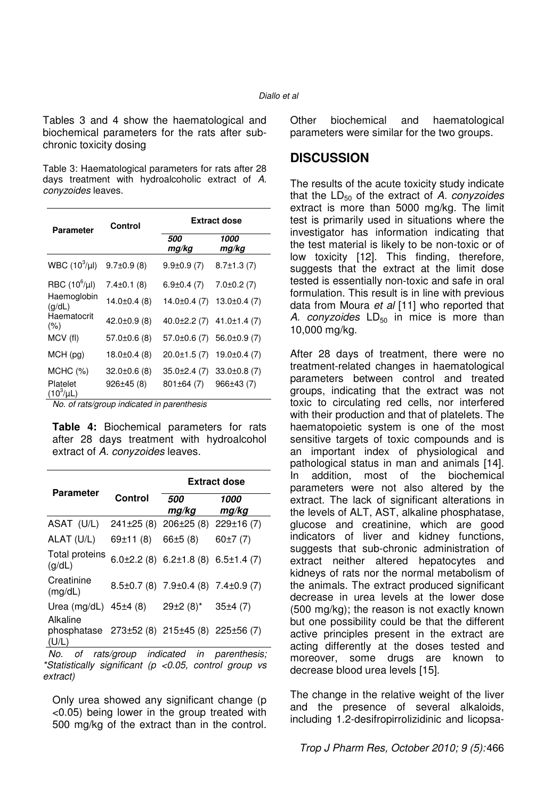Tables 3 and 4 show the haematological and biochemical parameters for the rats after subchronic toxicity dosing

Table 3: Haematological parameters for rats after 28 days treatment with hydroalcoholic extract of A. conyzoides leaves.

| Parameter                              | Control                         | <b>Extract dose</b>              |                                 |
|----------------------------------------|---------------------------------|----------------------------------|---------------------------------|
|                                        |                                 | <i><b>500</b></i><br>mg/kg       | 1000<br>mg/kg                   |
| WBC $(10^3/\mu l)$                     | $9.7 \pm 0.9$ (8)               | $9.9 \pm 0.9$ (7)                | $8.7 \pm 1.3(7)$                |
| RBC(10 <sup>6</sup> /µl)               | $7.4 \pm 0.1$ (8)               | $6.9 \pm 0.4(7)$                 | $7.0 \pm 0.2$ (7)               |
| Haemoglobin<br>(q/dL)                  | $14.0 \pm 0.4$ (8)              | $14.0 \pm 0.4(7)$                | $13.0 \pm 0.4$ (7)              |
| Haematocrit<br>$(\% )$                 | $42.0 \pm 0.9$ (8)              | $40.0 \pm 2.2$ (7)               | $41.0 \pm 1.4(7)$               |
| MCV (fl)                               | $57.0 \pm 0.6$ (8)              | $57.0 \pm 0.6$ (7)               | $56.0 \pm 0.9(7)$               |
| $MCH$ (pg)                             | $18.0 \pm 0.4$ (8)              | $20.0 \pm 1.5$ (7)               | $19.0 \pm 0.4(7)$               |
| MCHC (%)<br>Platelet<br>$(10^3/\mu L)$ | $32.0 \pm 0.6$ (8)<br>926±45(8) | $35.0 \pm 2.4$ (7)<br>801±64 (7) | $33.0 \pm 0.8$ (7)<br>966±43(7) |

No. of rats/group indicated in parenthesis

**Table 4:** Biochemical parameters for rats after 28 days treatment with hydroalcohol extract of A. conyzoides leaves.

|                                                                   |          | <b>Extract dose</b>                                   |               |  |
|-------------------------------------------------------------------|----------|-------------------------------------------------------|---------------|--|
| <b>Parameter</b>                                                  | Control  | 500<br>mg/kg                                          | 1000<br>mg/kg |  |
| ASAT (U/L)                                                        |          | $241\pm25(8)$ 206 $\pm25(8)$                          | 229±16(7)     |  |
| ALAT (U/L)                                                        | 69±11(8) | 66±5(8)                                               | 60±7(7)       |  |
| Total proteins<br>(a/dL)                                          |          | 6.0 $\pm$ 2.2 (8) 6.2 $\pm$ 1.8 (8) 6.5 $\pm$ 1.4 (7) |               |  |
| Creatinine<br>(mg/dL)                                             |          | $8.5\pm0.7$ (8) $7.9\pm0.4$ (8) $7.4\pm0.9$ (7)       |               |  |
| Urea (mg/dL) $45\pm4$ (8)                                         |          | $29\pm2(8)^*$                                         | 35±4(7)       |  |
| Alkaline<br>phosphatase 273±52 (8) 215±45 (8) 225±56 (7)<br>(U/L) |          |                                                       |               |  |

 No. of rats/group indicated in parenthesis; \*Statistically significant (p <0.05, control group vs extract)

Only urea showed any significant change (p <0.05) being lower in the group treated with 500 mg/kg of the extract than in the control.

Other biochemical and haematological parameters were similar for the two groups.

#### **DISCUSSION**

The results of the acute toxicity study indicate that the  $LD_{50}$  of the extract of A. conyzoides extract is more than 5000 mg/kg. The limit test is primarily used in situations where the investigator has information indicating that the test material is likely to be non-toxic or of low toxicity [12]. This finding, therefore, suggests that the extract at the limit dose tested is essentially non-toxic and safe in oral formulation. This result is in line with previous data from Moura et al [11] who reported that A. conyzoides  $LD_{50}$  in mice is more than 10,000 mg/kg.

After 28 days of treatment, there were no treatment-related changes in haematological parameters between control and treated groups, indicating that the extract was not toxic to circulating red cells, nor interfered with their production and that of platelets. The haematopoietic system is one of the most sensitive targets of toxic compounds and is an important index of physiological and pathological status in man and animals [14]. In addition, most of the biochemical parameters were not also altered by the extract. The lack of significant alterations in the levels of ALT, AST, alkaline phosphatase, glucose and creatinine, which are good indicators of liver and kidney functions, suggests that sub-chronic administration of extract neither altered hepatocytes and kidneys of rats nor the normal metabolism of the animals. The extract produced significant decrease in urea levels at the lower dose (500 mg/kg); the reason is not exactly known but one possibility could be that the different active principles present in the extract are acting differently at the doses tested and moreover, some drugs are known to decrease blood urea levels [15].

The change in the relative weight of the liver and the presence of several alkaloids, including 1.2-desifropirrolizidinic and licopsa-